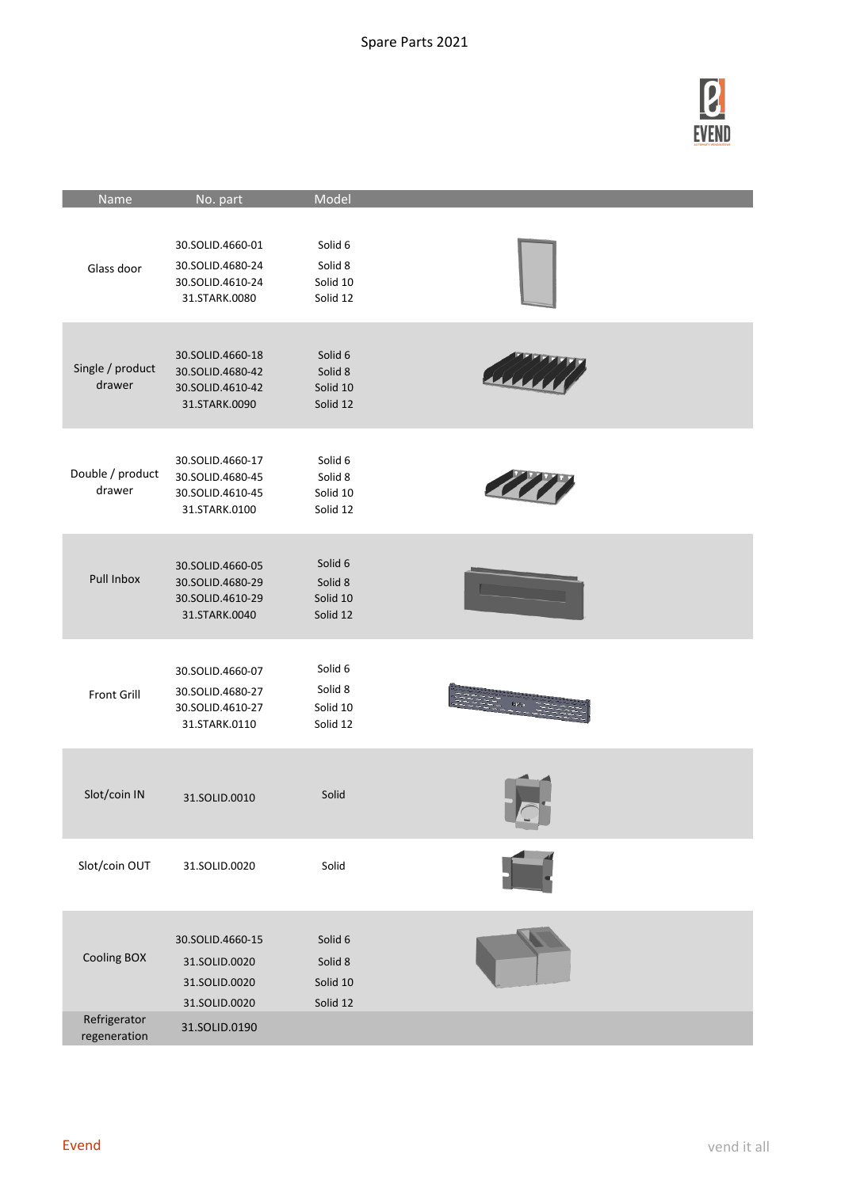

| Name                         | No. part                                                                  | Model                                      |                      |
|------------------------------|---------------------------------------------------------------------------|--------------------------------------------|----------------------|
| Glass door                   | 30.SOLID.4660-01<br>30.SOLID.4680-24<br>30.SOLID.4610-24<br>31.STARK.0080 | Solid 6<br>Solid 8<br>Solid 10<br>Solid 12 |                      |
| Single / product<br>drawer   | 30.SOLID.4660-18<br>30.SOLID.4680-42<br>30.SOLID.4610-42<br>31.STARK.0090 | Solid 6<br>Solid 8<br>Solid 10<br>Solid 12 |                      |
| Double / product<br>drawer   | 30.SOLID.4660-17<br>30.SOLID.4680-45<br>30.SOLID.4610-45<br>31.STARK.0100 | Solid 6<br>Solid 8<br>Solid 10<br>Solid 12 |                      |
| Pull Inbox                   | 30.SOLID.4660-05<br>30.SOLID.4680-29<br>30.SOLID.4610-29<br>31.STARK.0040 | Solid 6<br>Solid 8<br>Solid 10<br>Solid 12 |                      |
| Front Grill                  | 30.SOLID.4660-07<br>30.SOLID.4680-27<br>30.SOLID.4610-27<br>31.STARK.0110 | Solid 6<br>Solid 8<br>Solid 10<br>Solid 12 | ti<br>Till Roman i 1 |
| Slot/coin IN                 | 31.SOLID.0010                                                             | Solid                                      |                      |
| Slot/coin OUT                | 31.SOLID.0020                                                             | Solid                                      |                      |
| Cooling BOX                  | 30.SOLID.4660-15<br>31.SOLID.0020<br>31.SOLID.0020<br>31.SOLID.0020       | Solid 6<br>Solid 8<br>Solid 10<br>Solid 12 |                      |
| Refrigerator<br>regeneration | 31.SOLID.0190                                                             |                                            |                      |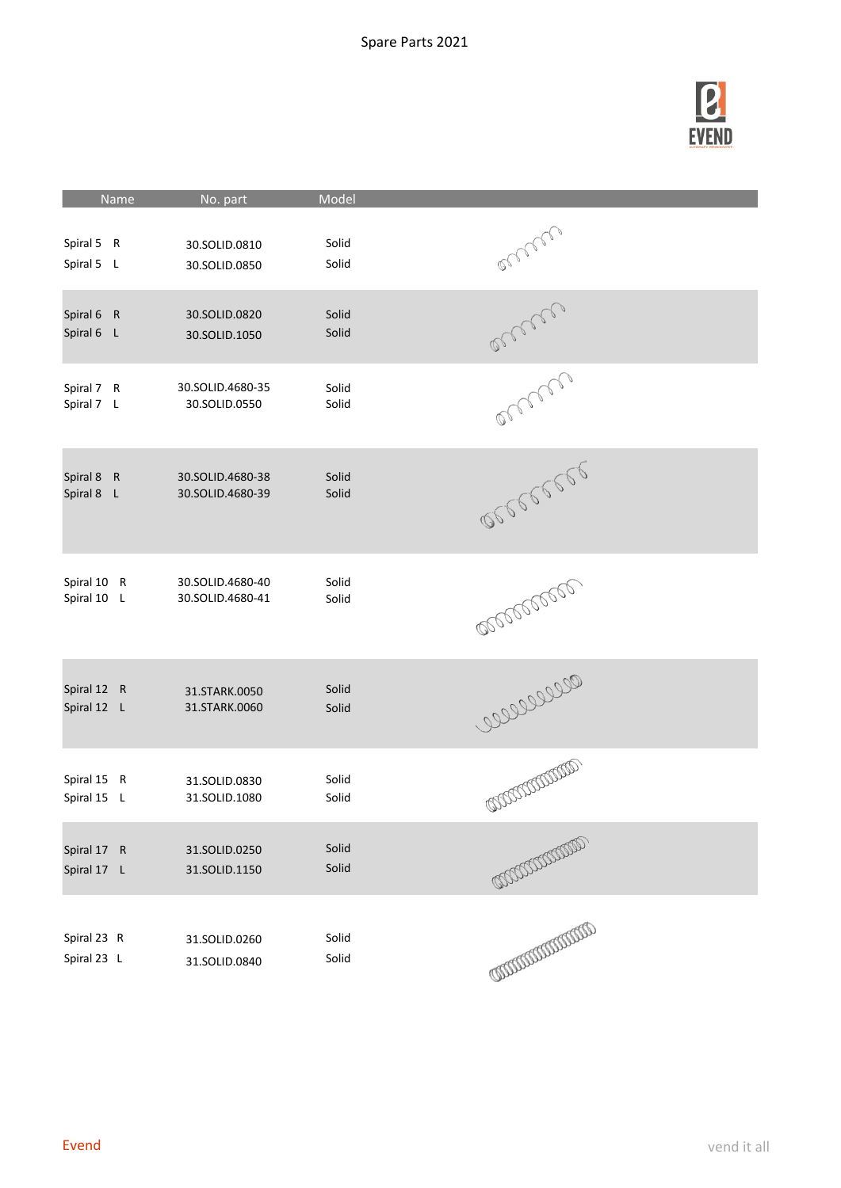

| Name                        | No. part                             | Model          |                              |
|-----------------------------|--------------------------------------|----------------|------------------------------|
| Spiral 5 R                  | 30.SOLID.0810                        | Solid          | orner                        |
| Spiral 5 L                  | 30.SOLID.0850                        | Solid          |                              |
| Spiral 6 R                  | 30.SOLID.0820                        | Solid          | access                       |
| Spiral 6 L                  | 30.SOLID.1050                        | Solid          |                              |
| Spiral 7 R                  | 30.SOLID.4680-35                     | Solid          | onnen                        |
| Spiral 7 L                  | 30.SOLID.0550                        | Solid          |                              |
| Spiral 8<br>R<br>Spiral 8 L | 30.SOLID.4680-38<br>30.SOLID.4680-39 | Solid<br>Solid | 00000000                     |
| Spiral 10 R                 | 30.SOLID.4680-40                     | Solid          | <b>BOOTBOOTBOOT</b>          |
| Spiral 10 L                 | 30.SOLID.4680-41                     | Solid          |                              |
| Spiral 12 R                 | 31.STARK.0050                        | Solid          | 000000000                    |
| Spiral 12 L                 | 31.STARK.0060                        | Solid          |                              |
| Spiral 15 R                 | 31.SOLID.0830                        | Solid          | COCOCOCOCO                   |
| Spiral 15 L                 | 31.SOLID.1080                        | Solid          |                              |
| Spiral 17 R                 | 31.SOLID.0250                        | Solid          | COOCOCOCOCO                  |
| Spiral 17 L                 | 31.SOLID.1150                        | Solid          |                              |
| Spiral 23 R                 | 31.SOLID.0260                        | Solid          | <b>CONTROLLER CONTROLLER</b> |
| Spiral 23 L                 | 31.SOLID.0840                        | Solid          |                              |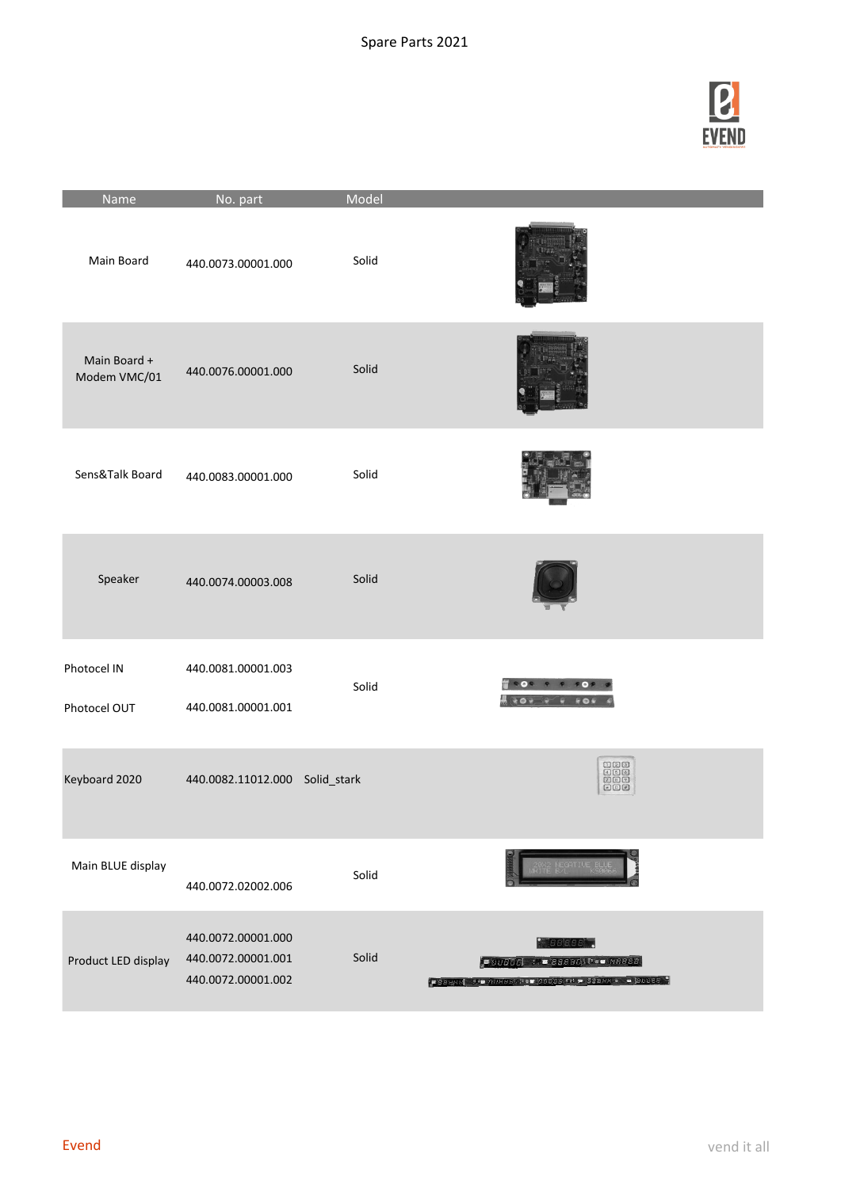

| Name                         | No. part                                                       | Model |                                                                                                                                                                                                                                                                                                                                                                                |
|------------------------------|----------------------------------------------------------------|-------|--------------------------------------------------------------------------------------------------------------------------------------------------------------------------------------------------------------------------------------------------------------------------------------------------------------------------------------------------------------------------------|
| Main Board                   | 440.0073.00001.000                                             | Solid |                                                                                                                                                                                                                                                                                                                                                                                |
| Main Board +<br>Modem VMC/01 | 440.0076.00001.000                                             | Solid |                                                                                                                                                                                                                                                                                                                                                                                |
| Sens&Talk Board              | 440.0083.00001.000                                             | Solid |                                                                                                                                                                                                                                                                                                                                                                                |
| Speaker                      | 440.0074.00003.008                                             | Solid |                                                                                                                                                                                                                                                                                                                                                                                |
| Photocel IN<br>Photocel OUT  | 440.0081.00001.003<br>440.0081.00001.001                       | Solid | <b>ROS</b><br><b>FO</b><br>$\begin{picture}(180,10) \put(0,0){\line(1,0){10}} \put(10,0){\line(1,0){10}} \put(10,0){\line(1,0){10}} \put(10,0){\line(1,0){10}} \put(10,0){\line(1,0){10}} \put(10,0){\line(1,0){10}} \put(10,0){\line(1,0){10}} \put(10,0){\line(1,0){10}} \put(10,0){\line(1,0){10}} \put(10,0){\line(1,0){10}} \put(10,0){\line(1,0){10}} \put(10,0){\line($ |
| Keyboard 2020                | 440.0082.11012.000 Solid_stark                                 |       | 000<br>000<br>000<br>田田田                                                                                                                                                                                                                                                                                                                                                       |
| Main BLUE display            | 440.0072.02002.006                                             | Solid |                                                                                                                                                                                                                                                                                                                                                                                |
| Product LED display          | 440.0072.00001.000<br>440.0072.00001.001<br>440.0072.00001.002 | Solid | 88888<br><b>ESSES = 1155555 = 33555</b><br>$\bullet$ 38888 4.0 888889. $\bullet$ 98888 14 0 88888 $\bullet$ = 88888                                                                                                                                                                                                                                                            |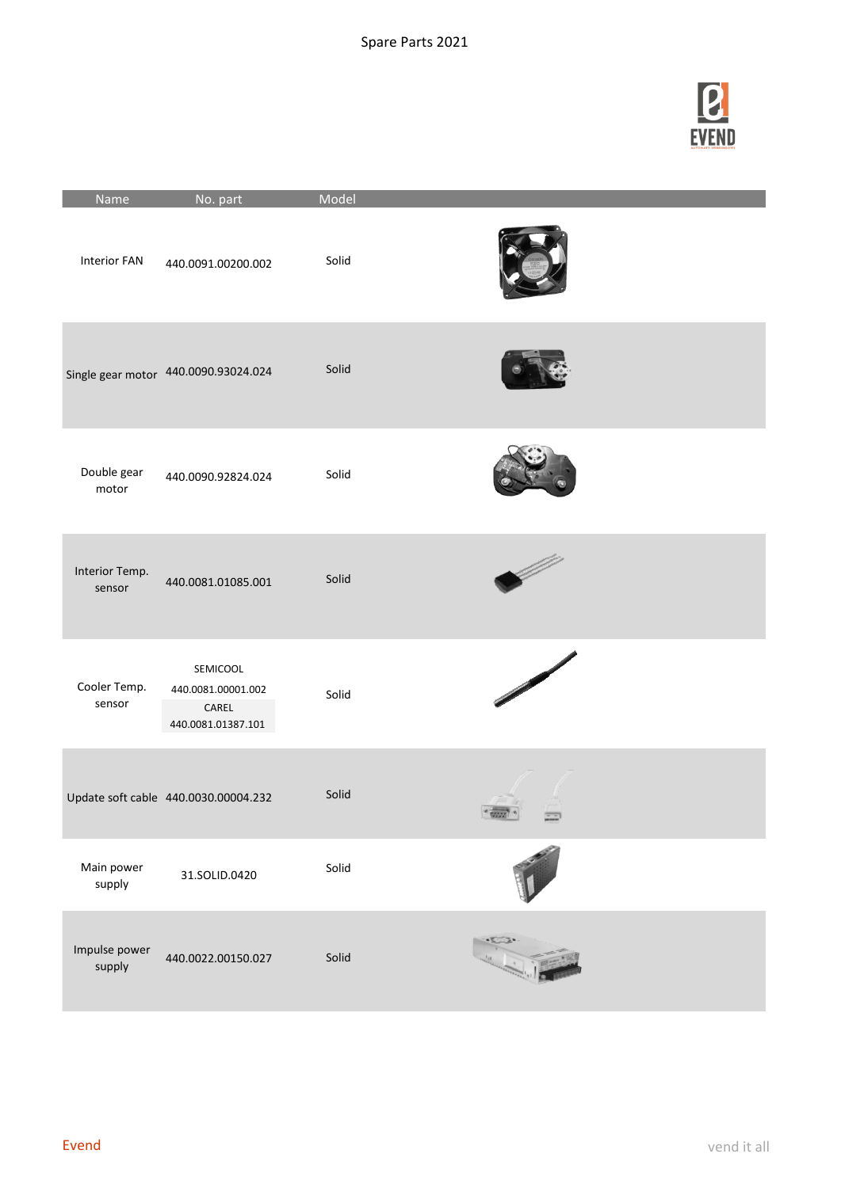

| Name                     | No. part                                                      | Model |  |
|--------------------------|---------------------------------------------------------------|-------|--|
| <b>Interior FAN</b>      | 440.0091.00200.002                                            | Solid |  |
|                          | Single gear motor 440.0090.93024.024                          | Solid |  |
| Double gear<br>motor     | 440.0090.92824.024                                            | Solid |  |
| Interior Temp.<br>sensor | 440.0081.01085.001                                            | Solid |  |
| Cooler Temp.<br>sensor   | SEMICOOL<br>440.0081.00001.002<br>CAREL<br>440.0081.01387.101 | Solid |  |
|                          | Update soft cable 440.0030.00004.232                          | Solid |  |
| Main power<br>supply     | 31.SOLID.0420                                                 | Solid |  |
| Impulse power<br>supply  | 440.0022.00150.027                                            | Solid |  |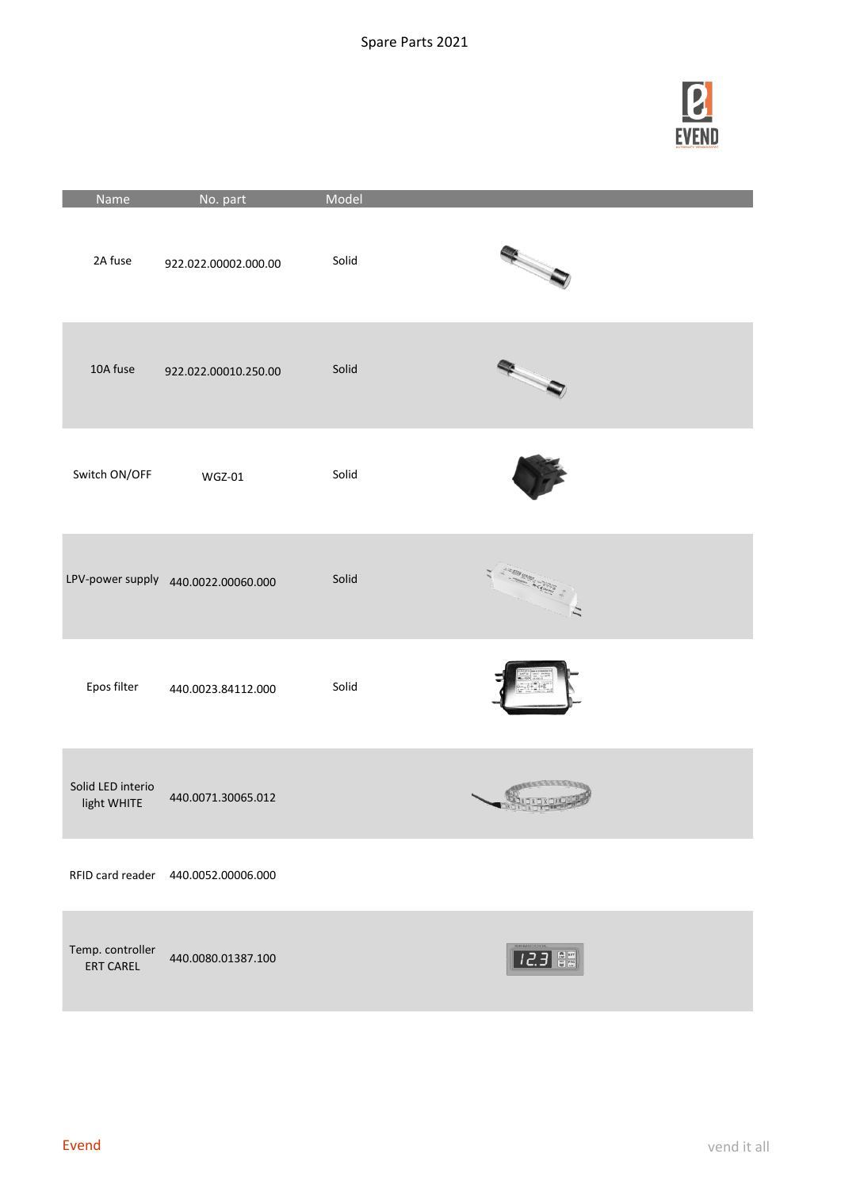

| Name                                 | No. part                            | Model |                                              |
|--------------------------------------|-------------------------------------|-------|----------------------------------------------|
| 2A fuse                              | 922.022.00002.000.00                | Solid |                                              |
| 10A fuse                             | 922.022.00010.250.00                | Solid |                                              |
| Switch ON/OFF                        | $WGZ-01$                            | Solid |                                              |
|                                      | LPV-power supply 440.0022.00060.000 | Solid | <b>SERI WARDS AND A STRATEGIC AND ACTION</b> |
| Epos filter                          | 440.0023.84112.000                  | Solid |                                              |
| Solid LED interio<br>light WHITE     | 440.0071.30065.012                  |       |                                              |
|                                      | RFID card reader 440.0052.00006.000 |       |                                              |
| Temp. controller<br><b>ERT CAREL</b> | 440.0080.01387.100                  |       | 12.3 음력                                      |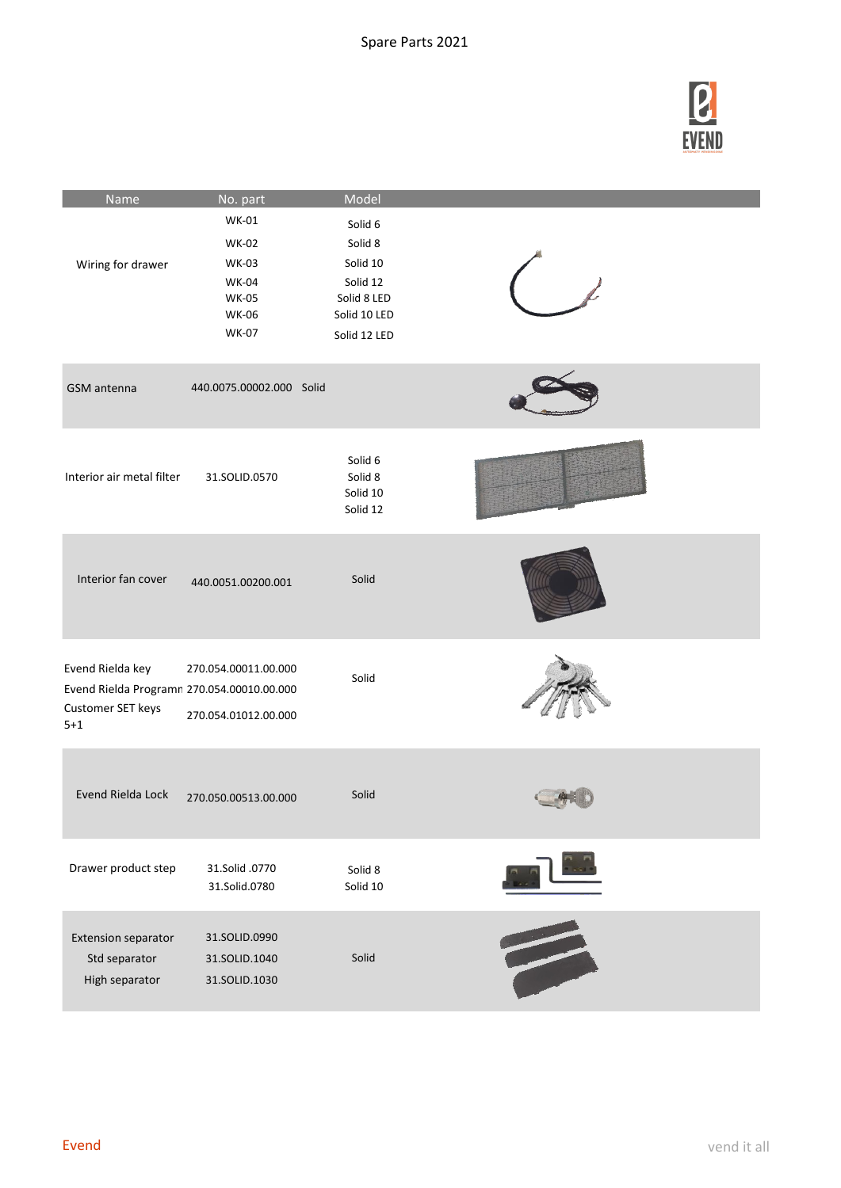

| Name                                                                                           | No. part                                                                                                     | Model                                                                                     |  |
|------------------------------------------------------------------------------------------------|--------------------------------------------------------------------------------------------------------------|-------------------------------------------------------------------------------------------|--|
| Wiring for drawer                                                                              | <b>WK-01</b><br><b>WK-02</b><br><b>WK-03</b><br><b>WK-04</b><br><b>WK-05</b><br><b>WK-06</b><br><b>WK-07</b> | Solid 6<br>Solid 8<br>Solid 10<br>Solid 12<br>Solid 8 LED<br>Solid 10 LED<br>Solid 12 LED |  |
| GSM antenna                                                                                    | 440.0075.00002.000 Solid                                                                                     |                                                                                           |  |
| Interior air metal filter                                                                      | 31.SOLID.0570                                                                                                | Solid 6<br>Solid 8<br>Solid 10<br>Solid 12                                                |  |
| Interior fan cover                                                                             | 440.0051.00200.001                                                                                           | Solid                                                                                     |  |
| Evend Rielda key<br>Evend Rielda Programn 270.054.00010.00.000<br>Customer SET keys<br>$5 + 1$ | 270.054.00011.00.000<br>270.054.01012.00.000                                                                 | Solid                                                                                     |  |
| Evend Rielda Lock                                                                              | 270.050.00513.00.000                                                                                         | Solid                                                                                     |  |
| Drawer product step                                                                            | 31.Solid .0770<br>31.Solid.0780                                                                              | Solid 8<br>Solid 10                                                                       |  |
| <b>Extension separator</b><br>Std separator<br>High separator                                  | 31.SOLID.0990<br>31.SOLID.1040<br>31.SOLID.1030                                                              | Solid                                                                                     |  |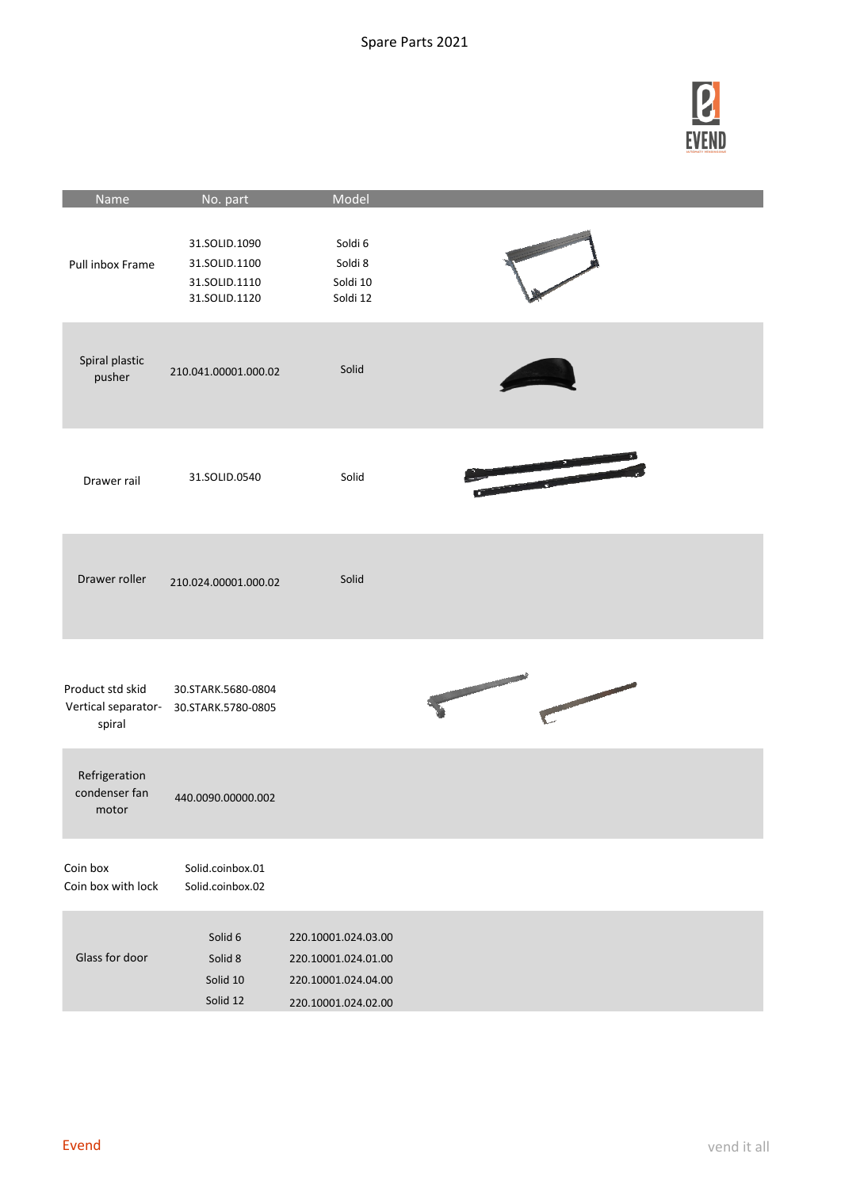

| Name                                              | No. part                                                         | Model                                                                                    |                                 |
|---------------------------------------------------|------------------------------------------------------------------|------------------------------------------------------------------------------------------|---------------------------------|
| Pull inbox Frame                                  | 31.SOLID.1090<br>31.SOLID.1100<br>31.SOLID.1110<br>31.SOLID.1120 | Soldi 6<br>Soldi 8<br>Soldi 10<br>Soldi 12                                               |                                 |
| Spiral plastic<br>pusher                          | 210.041.00001.000.02                                             | Solid                                                                                    |                                 |
| Drawer rail                                       | 31.SOLID.0540                                                    | Solid                                                                                    |                                 |
| Drawer roller                                     | 210.024.00001.000.02                                             | Solid                                                                                    |                                 |
| Product std skid<br>Vertical separator-<br>spiral | 30.STARK.5680-0804<br>30.STARK.5780-0805                         |                                                                                          | and the first state of the con- |
| Refrigeration<br>condenser fan<br>motor           | 440.0090.00000.002                                               |                                                                                          |                                 |
| Coin box<br>Coin box with lock                    | Solid.coinbox.01<br>Solid.coinbox.02                             |                                                                                          |                                 |
| Glass for door                                    | Solid 6<br>Solid 8<br>Solid 10<br>Solid 12                       | 220.10001.024.03.00<br>220.10001.024.01.00<br>220.10001.024.04.00<br>220.10001.024.02.00 |                                 |